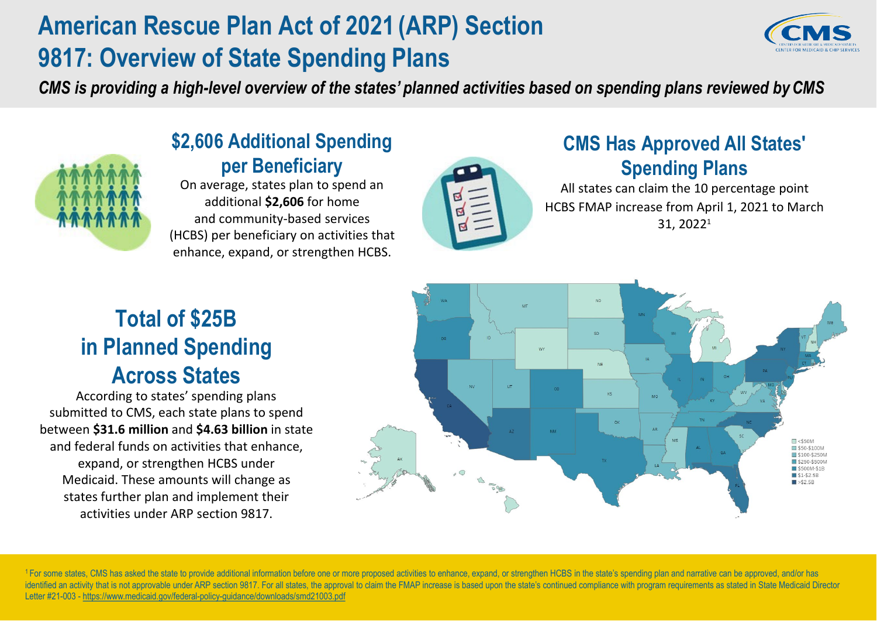## **American Rescue Plan Act of 2021 (ARP) Section 9817: Overview of State Spending Plans**

*CMS is providing a high-level overview of the states' planned activities based on spending plans reviewed byCMS*



### **\$2,606 Additional Spending per Beneficiary**

On average, states plan to spend an additional **\$2,606** for home and community-based services (HCBS) per beneficiary on activities that enhance, expand, or strengthen HCBS.



### **CMS Has Approved All States' Spending Plans**

All states can claim the 10 percentage point HCBS FMAP increase from April 1, 2021 to March 31, 20221

## **Total of \$25B in Planned Spending Across States**

<sup>1</sup> For some states, CMS has asked the state to provide additional information before one or more proposed activities to enhance, expand, or strengthen HCBS in the state's spending plan and narrative can be approved, and/o identified an activity that is not approvable under ARP section 9817. For all states, the approval to claim the FMAP increase is based upon the state's continued compliance with program requirements as stated in State Medi Letter #21-003 - <https://www.medicaid.gov/federal-policy-guidance/downloads/smd21003.pdf>



According to states' spending plans submitted to CMS, each state plans to spend between **\$31.6 million** and **\$4.63 billion** in state and federal funds on activities that enhance, expand, or strengthen HCBS under Medicaid. These amounts will change as states further plan and implement their activities under ARP section 9817.

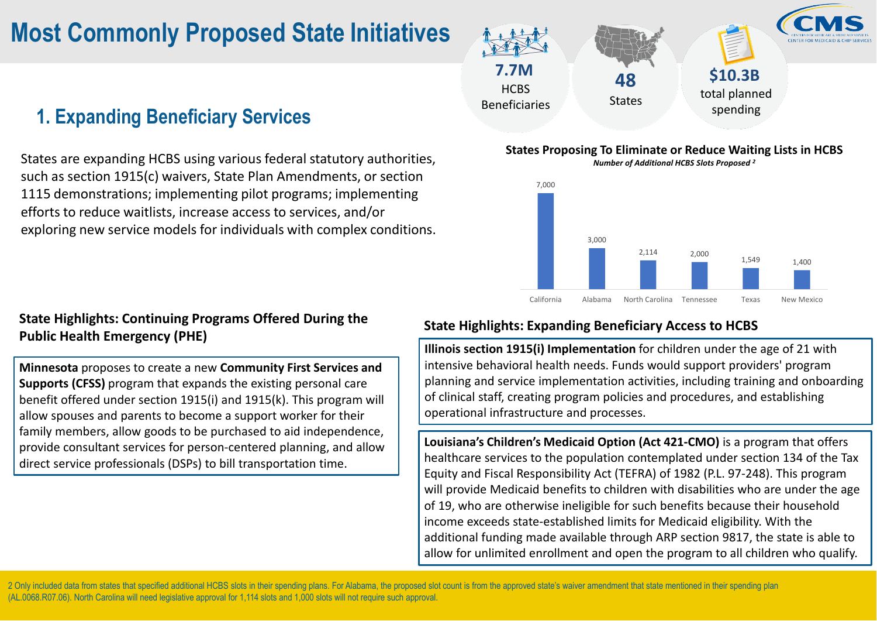### **7.7M HCBS** Beneficiaries **48 States**

### **1. Expanding Beneficiary Services**

### **\$10.3B** total planned

States are expanding HCBS using various federal statutory authorities, such as section 1915(c) waivers, State Plan Amendments, or section 1115 demonstrations; implementing pilot programs; implementing efforts to reduce waitlists, increase access to services, and/or exploring new service models for individuals with complex conditions.

#### **States Proposing To Eliminate or Reduce Waiting Lists in HCBS** *Number of Additional HCBS Slots Proposed 2*

# 3,000 7,000



#### **State Highlights: Continuing Programs Offered During the Public Health Emergency (PHE)**

**Minnesota** proposes to create a new **Community First Services and Supports (CFSS)** program that expands the existing personal care benefit offered under section 1915(i) and 1915(k). This program will allow spouses and parents to become a support worker for their family members, allow goods to be purchased to aid independence, provide consultant services for person-centered planning, and allow direct service professionals (DSPs) to bill transportation time.

### **State Highlights: Expanding Beneficiary Access to HCBS**

2 Only included data from states that specified additional HCBS slots in their spending plans. For Alabama, the proposed slot count is from the approved state's waiver amendment that state mentioned in their spending plan (AL.0068.R07.06). North Carolina will need legislative approval for 1,114 slots and 1,000 slots will not require such approval.



**Illinois section 1915(i) Implementation** for children under the age of 21 with intensive behavioral health needs. Funds would support providers' program planning and service implementation activities, including training and onboarding of clinical staff, creating program policies and procedures, and establishing operational infrastructure and processes.

**Louisiana's Children's Medicaid Option (Act 421-CMO)** is a program that offers healthcare services to the population contemplated under section 134 of the Tax Equity and Fiscal Responsibility Act (TEFRA) of 1982 (P.L. 97-248). This program will provide Medicaid benefits to children with disabilities who are under the age of 19, who are otherwise ineligible for such benefits because their household income exceeds state-established limits for Medicaid eligibility. With the additional funding made available through ARP section 9817, the state is able to allow for unlimited enrollment and open the program to all children who qualify.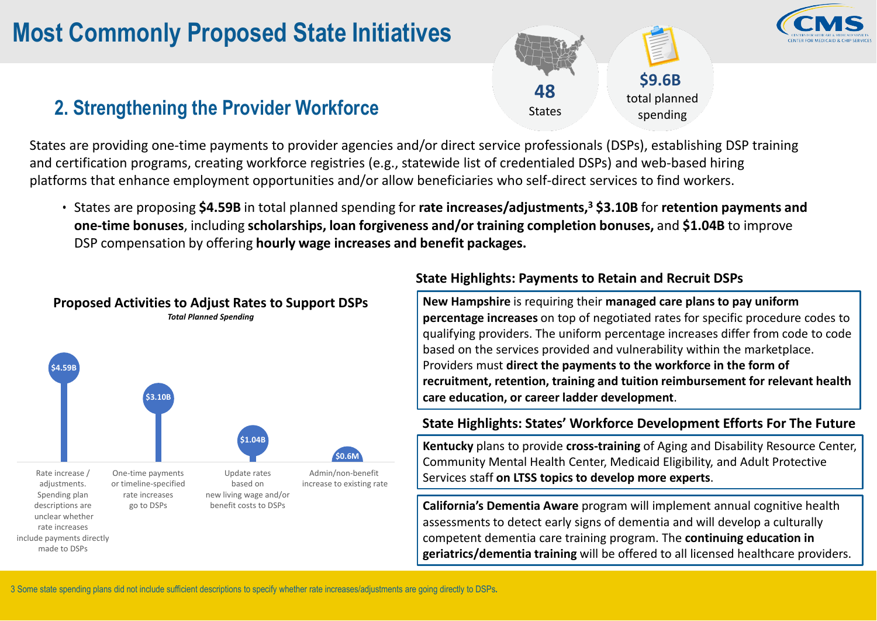## **2. Strengthening the Provider Workforce 1988** States spending

**48**

States

**\$9.6B**

States are providing one-time payments to provider agencies and/or direct service professionals (DSPs), establishing DSP training and certification programs, creating workforce registries (e.g., statewide list of credentialed DSPs) and web-based hiring platforms that enhance employment opportunities and/or allow beneficiaries who self-direct services to find workers.

• States are proposing **\$4.59B** in total planned spending for **rate increases/adjustments,3 \$3.10B** for **retention payments and one-time bonuses**, including **scholarships, loan forgiveness and/or training completion bonuses,** and **\$1.04B** to improve DSP compensation by offering **hourly wage increases and benefit packages.**

#### **State Highlights: Payments to Retain and Recruit DSPs**



**New Hampshire** is requiring their **managed care plans to pay uniform percentage increases** on top of negotiated rates for specific procedure codes to qualifying providers. The uniform percentage increases differ from code to code based on the services provided and vulnerability within the marketplace. Providers must **direct the payments to the workforce in the form of recruitment, retention, training and tuition reimbursement for relevant health care education, or career ladder development**.

#### **State Highlights: States' Workforce Development Efforts For The Future**

**Kentucky** plans to provide **cross-training** of Aging and Disability Resource Center, Community Mental Health Center, Medicaid Eligibility, and Adult Protective Services staff **on LTSS topics to develop more experts**.

**California's Dementia Aware** program will implement annual cognitive health assessments to detect early signs of dementia and will develop a culturally competent dementia care training program. The **continuing education in geriatrics/dementia training** will be offered to all licensed healthcare providers.



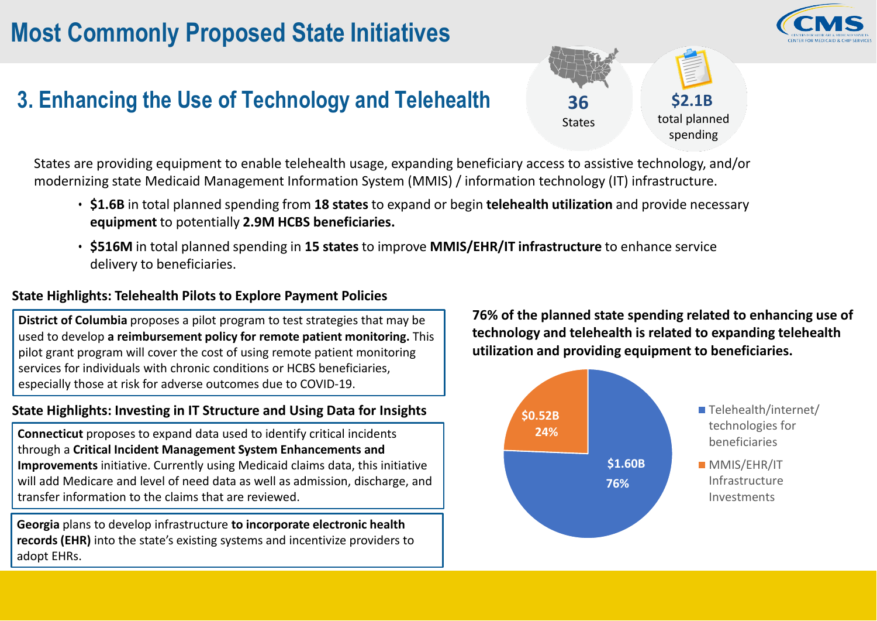## **3. Enhancing the Use of Technology and Telehealth 36**







total planned spending

States are providing equipment to enable telehealth usage, expanding beneficiary access to assistive technology, and/or modernizing state Medicaid Management Information System (MMIS) / information technology (IT) infrastructure.

- **\$1.6B** in total planned spending from **18 states** to expand or begin **telehealth utilization** and provide necessary **equipment** to potentially **2.9M HCBS beneficiaries.**
- **\$516M** in total planned spending in **15 states** to improve **MMIS/EHR/IT infrastructure** to enhance service delivery to beneficiaries.

#### **State Highlights: Telehealth Pilots to Explore Payment Policies**

**District of Columbia** proposes a pilot program to test strategies that may be used to develop **a reimbursement policy for remote patient monitoring.** This pilot grant program will cover the cost of using remote patient monitoring services for individuals with chronic conditions or HCBS beneficiaries, especially those at risk for adverse outcomes due to COVID-19.

> **MMIS/EHR/IT** Infrastructure Investments

#### **State Highlights: Investing in IT Structure and Using Data for Insights**

**Connecticut** proposes to expand data used to identify critical incidents through a **Critical Incident Management System Enhancements and Improvements** initiative. Currently using Medicaid claims data, this initiative will add Medicare and level of need data as well as admission, discharge, and transfer information to the claims that are reviewed.

**Georgia** plans to develop infrastructure **to incorporate electronic health records (EHR)** into the state's existing systems and incentivize providers to adopt EHRs.

# **76% of the planned state spending related to enhancing use of**

**technology and telehealth is related to expanding telehealth utilization and providing equipment to beneficiaries.**



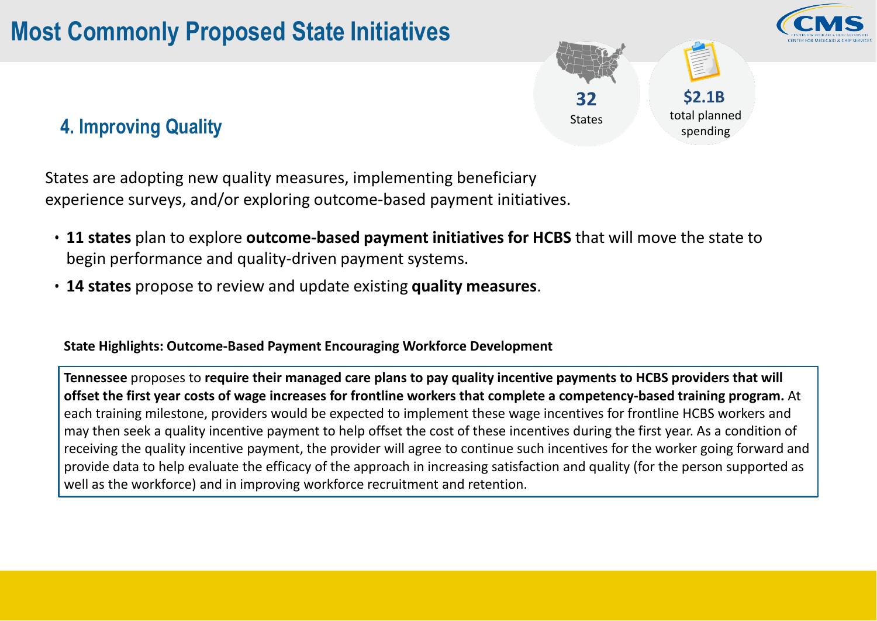### **4. Improving Quality**





States are adopting new quality measures, implementing beneficiary experience surveys, and/or exploring outcome-based payment initiatives.

- **11 states** plan to explore **outcome-based payment initiatives for HCBS** that will move the state to begin performance and quality-driven payment systems.
- **14 states** propose to review and update existing **quality measures**.

#### **State Highlights: Outcome-Based Payment Encouraging Workforce Development**

**Tennessee** proposes to **require their managed care plans to pay quality incentive payments to HCBS providers that will offset the first year costs of wage increases for frontline workers that complete a competency-based training program.** At each training milestone, providers would be expected to implement these wage incentives for frontline HCBS workers and may then seek a quality incentive payment to help offset the cost of these incentives during the first year. As a condition of receiving the quality incentive payment, the provider will agree to continue such incentives for the worker going forward and provide data to help evaluate the efficacy of the approach in increasing satisfaction and quality (for the person supported as well as the workforce) and in improving workforce recruitment and retention.